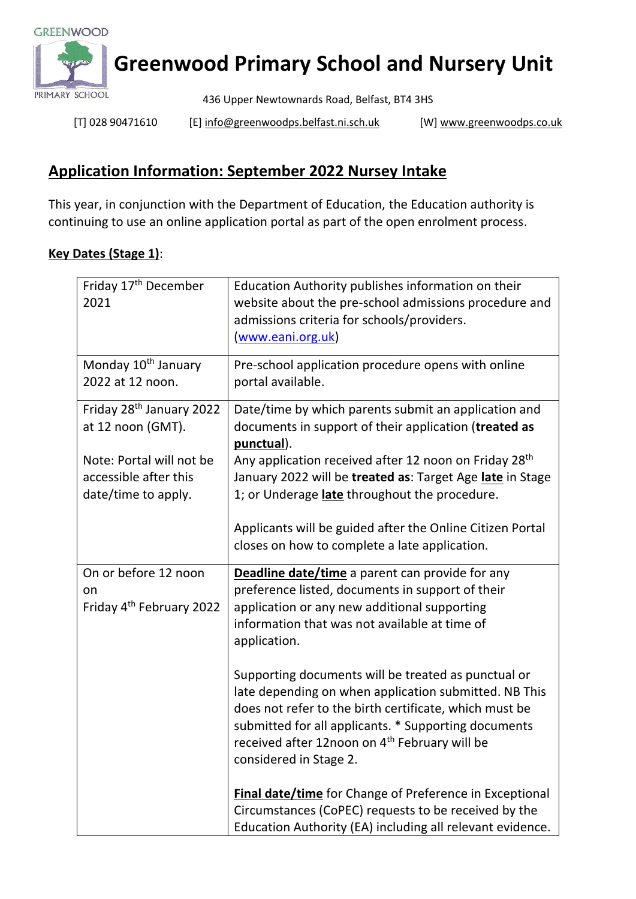

## **Greenwood Primary School and Nursery Unit**

436 Upper Newtownards Road, Belfast, BT4 3HS

[T] 028 90471610 [E[\] info@greenwoodps.belfast.ni.sch.uk](mailto:info@greenwoodps.belfast.ni.sch.uk) [W] [www.greenwoodps.co.uk](http://www.greenwoodps.co.uk/)

## **Application Information: September 2022 Nursey Intake**

This year, in conjunction with the Department of Education, the Education authority is continuing to use an online application portal as part of the open enrolment process.

## **Key Dates (Stage 1)**:

| Friday 17 <sup>th</sup> December<br>2021                                 | Education Authority publishes information on their<br>website about the pre-school admissions procedure and<br>admissions criteria for schools/providers.<br>(www.eani.org.uk)                                                                                                                                        |
|--------------------------------------------------------------------------|-----------------------------------------------------------------------------------------------------------------------------------------------------------------------------------------------------------------------------------------------------------------------------------------------------------------------|
| Monday 10 <sup>th</sup> January<br>2022 at 12 noon.                      | Pre-school application procedure opens with online<br>portal available.                                                                                                                                                                                                                                               |
| Friday 28 <sup>th</sup> January 2022<br>at 12 noon (GMT).                | Date/time by which parents submit an application and<br>documents in support of their application (treated as<br>punctual).                                                                                                                                                                                           |
| Note: Portal will not be<br>accessible after this<br>date/time to apply. | Any application received after 12 noon on Friday 28 <sup>th</sup><br>January 2022 will be treated as: Target Age late in Stage<br>1; or Underage late throughout the procedure.                                                                                                                                       |
|                                                                          | Applicants will be guided after the Online Citizen Portal<br>closes on how to complete a late application.                                                                                                                                                                                                            |
| On or before 12 noon<br>on<br>Friday 4 <sup>th</sup> February 2022       | Deadline date/time a parent can provide for any<br>preference listed, documents in support of their<br>application or any new additional supporting<br>information that was not available at time of<br>application.                                                                                                  |
|                                                                          | Supporting documents will be treated as punctual or<br>late depending on when application submitted. NB This<br>does not refer to the birth certificate, which must be<br>submitted for all applicants. * Supporting documents<br>received after 12noon on 4 <sup>th</sup> February will be<br>considered in Stage 2. |
|                                                                          | Final date/time for Change of Preference in Exceptional<br>Circumstances (CoPEC) requests to be received by the<br>Education Authority (EA) including all relevant evidence.                                                                                                                                          |